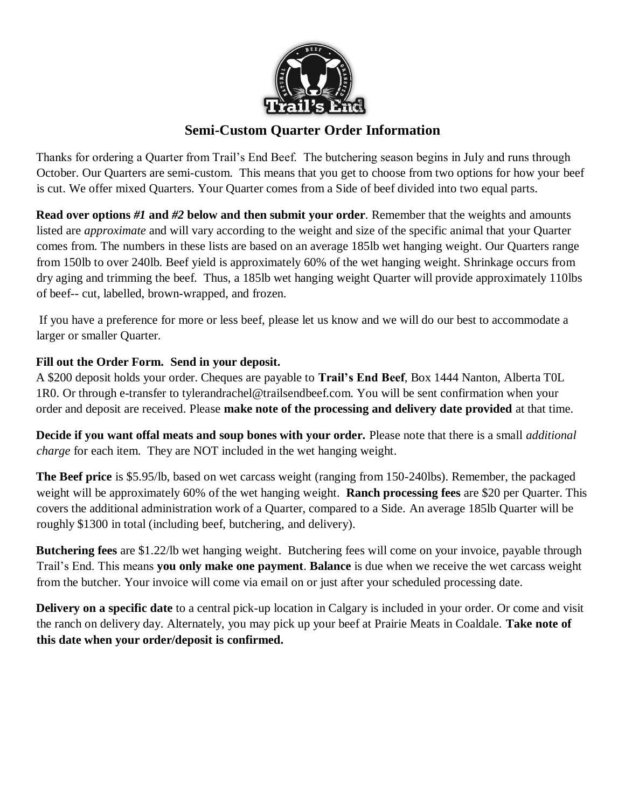

# **Semi-Custom Quarter Order Information**

Thanks for ordering a Quarter from Trail's End Beef. The butchering season begins in July and runs through October. Our Quarters are semi-custom. This means that you get to choose from two options for how your beef is cut. We offer mixed Quarters. Your Quarter comes from a Side of beef divided into two equal parts.

**Read over options** *#1* **and** *#2* **below and then submit your order**. Remember that the weights and amounts listed are *approximate* and will vary according to the weight and size of the specific animal that your Quarter comes from. The numbers in these lists are based on an average 185lb wet hanging weight. Our Quarters range from 150lb to over 240lb. Beef yield is approximately 60% of the wet hanging weight. Shrinkage occurs from dry aging and trimming the beef. Thus, a 185lb wet hanging weight Quarter will provide approximately 110lbs of beef-- cut, labelled, brown-wrapped, and frozen.

If you have a preference for more or less beef, please let us know and we will do our best to accommodate a larger or smaller Quarter.

## **Fill out the Order Form. Send in your deposit.**

A \$200 deposit holds your order. Cheques are payable to **Trail's End Beef**, Box 1444 Nanton, Alberta T0L 1R0. Or through e-transfer to tylerandrachel@trailsendbeef.com. You will be sent confirmation when your order and deposit are received. Please **make note of the processing and delivery date provided** at that time.

**Decide if you want offal meats and soup bones with your order.** Please note that there is a small *additional charge* for each item. They are NOT included in the wet hanging weight.

**The Beef price** is \$5.95/lb, based on wet carcass weight (ranging from 150-240lbs). Remember, the packaged weight will be approximately 60% of the wet hanging weight. **Ranch processing fees** are \$20 per Quarter. This covers the additional administration work of a Quarter, compared to a Side. An average 185lb Quarter will be roughly \$1300 in total (including beef, butchering, and delivery).

**Butchering fees** are \$1.22/lb wet hanging weight. Butchering fees will come on your invoice, payable through Trail's End. This means **you only make one payment**. **Balance** is due when we receive the wet carcass weight from the butcher. Your invoice will come via email on or just after your scheduled processing date.

**Delivery on a specific date** to a central pick-up location in Calgary is included in your order. Or come and visit the ranch on delivery day. Alternately, you may pick up your beef at Prairie Meats in Coaldale. **Take note of this date when your order/deposit is confirmed.**